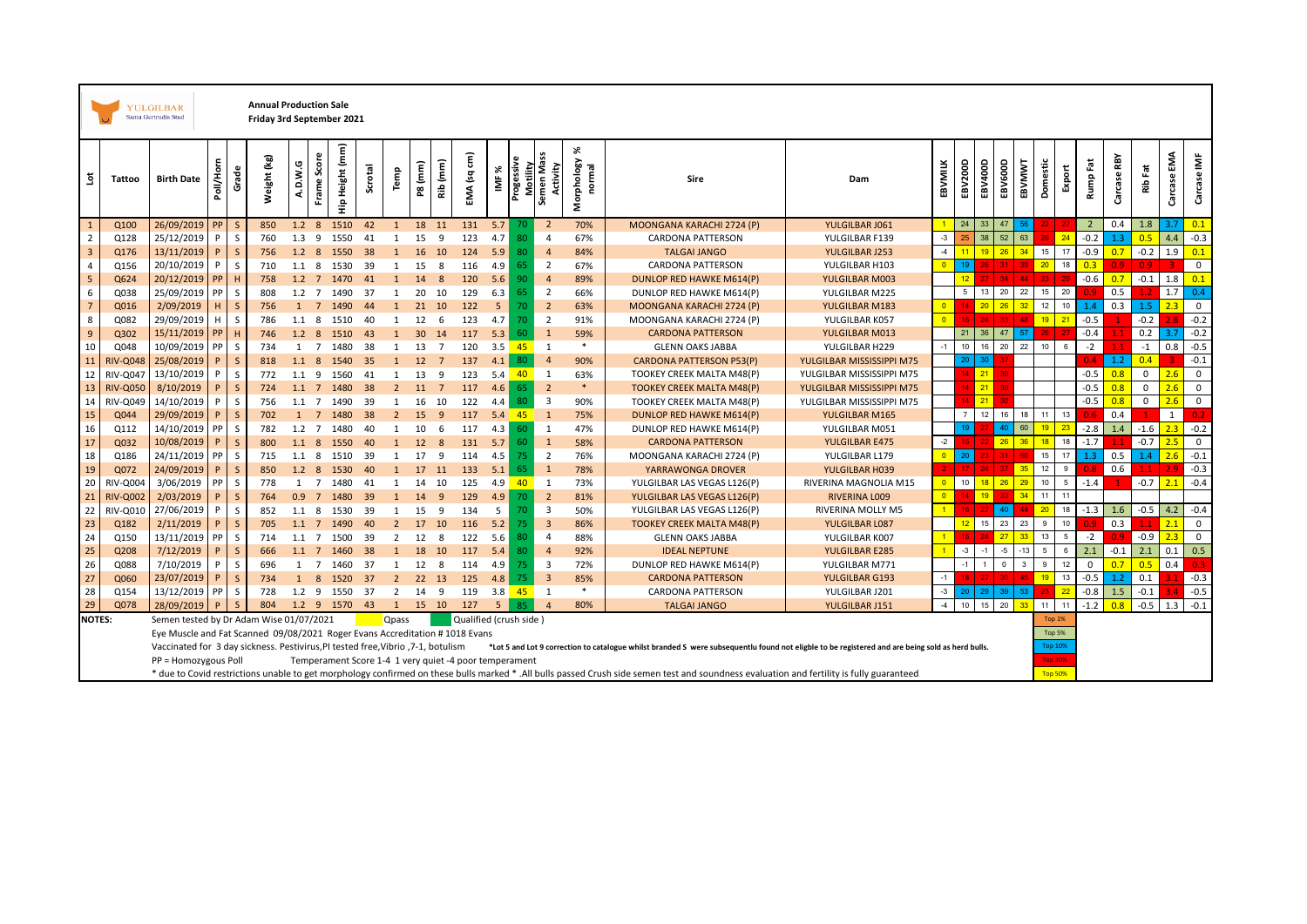|                         |                 | <b>YULGILBAR</b><br>Santa Gertrudis Stud                                         |           |              | <b>Annual Production Sale</b><br>Friday 3rd September 2021 |               |                  |                                                        |         |                |                 |                |                        |        |            |                         |          |                           |                                                                                                                                                                                           |                           |                |                  |                 |                 |              |                 |        |                |             |             |                |                  |
|-------------------------|-----------------|----------------------------------------------------------------------------------|-----------|--------------|------------------------------------------------------------|---------------|------------------|--------------------------------------------------------|---------|----------------|-----------------|----------------|------------------------|--------|------------|-------------------------|----------|---------------------------|-------------------------------------------------------------------------------------------------------------------------------------------------------------------------------------------|---------------------------|----------------|------------------|-----------------|-----------------|--------------|-----------------|--------|----------------|-------------|-------------|----------------|------------------|
| š                       | Tattoo          | <b>Birth Date</b>                                                                | Poll/Horn | Grade        | Weight (kg)                                                | A.D.W.G       | Score<br>Frame   | Hip Height (mm)                                        | Scrotal | Temp           | P8 (mm)         | Rib (mm)       | EMA (sq cm)            | ৯<br>Ë | Progessive | Motility<br>Semen Mass  | Activity | X<br>Morphology<br>normal | Sire                                                                                                                                                                                      | Dam                       | EBVMILK        | EBV200D          | EBV400D         | EBV600D         | EBVMWVT      | Domestic        | Export | Fat<br>Rumpl   | Carcase RBY | Fat<br>ξÊ   | EMA<br>Carcase | Carcase IMF      |
| 1                       | Q100            | 26/09/2019                                                                       | PP        | S            | 850                                                        | $1.2 \quad 8$ |                  | 1510                                                   | 42      | 1              | 18              | 11             | 131                    | 5.7    |            | $\overline{2}$          |          | 70%                       | MOONGANA KARACHI 2724 (P)                                                                                                                                                                 | YULGILBAR J061            |                | 24               | 33              | 47              | 56           |                 |        | $\overline{2}$ | 0.4         | 1.8         | 3.7            | 0.1              |
| $\overline{2}$          | Q128            | 25/12/2019                                                                       | P         | S            | 760                                                        | 1.3           | -9               | 1550                                                   | 41      | 1              | 15              | 9              | 123                    | 4.7    |            | $\overline{4}$          |          | 67%                       | CARDONA PATTERSON                                                                                                                                                                         | YULGILBAR F139            | $-3$           |                  | 38              | 52              | 63           |                 | 24     | $-0.2$         | 1.3         | 0.5         | 4.4            | $-0.3$           |
| $\overline{\mathbf{3}}$ | Q176            | 13/11/2019                                                                       | P         | $\mathsf{S}$ | 756                                                        | 1.2           | 8                | 1550                                                   | 38      | 1              | 16              | 10             | 124                    | 5.9    | 80         | $\overline{4}$          |          | 84%                       | <b>TALGAI JANGO</b>                                                                                                                                                                       | YULGILBAR J253            | $-4$           |                  | 19 <sup>°</sup> | 26              | 34           | 15              | 17     | $-0.9$         | 0.7         | $-0.2$      | 1.9            | 0.1              |
| $\overline{4}$          | Q156            | 20/10/2019                                                                       | P         | S            | 710                                                        | 1.1           | -8               | 1530                                                   | 39      | $\mathbf{1}$   | 15              | 8              | 116                    | 4.9    | 65         | $\overline{2}$          |          | 67%                       | <b>CARDONA PATTERSON</b>                                                                                                                                                                  | YULGILBAR H103            | $\Omega$       |                  |                 |                 |              | 20 <sup>2</sup> | 18     | 0.3            |             | 09          |                | $\mathbf 0$      |
| $\overline{\mathbf{5}}$ | Q624            | 20/12/2019                                                                       | PP        | H            | 758                                                        |               | $1.2 \quad 7$    | 1470                                                   | 41      | $\mathbf{1}$   | 14              | 8              | 120                    | 5.6    | 90         | $\overline{4}$          |          | 89%                       | DUNLOP RED HAWKE M614(P)                                                                                                                                                                  | YULGILBAR M003            |                |                  |                 |                 | 44           | 23              |        | $-0.6$         | 0.7         | $-0.1$      | 1.8            | 0.1              |
| 6                       | Q038            | 25/09/2019                                                                       | <b>PP</b> | S            | 808                                                        | $1.2 \quad 7$ |                  | 1490                                                   | -37     | 1              | 20              | 10             | 129                    | 6.3    | 65         | $\overline{2}$          |          | 66%                       | DUNLOP RED HAWKE M614(P)                                                                                                                                                                  | YULGILBAR M225            |                | 5                | 13              | 20              | 22           | 15              | 20     |                | 0.5         | 1.7         | 1.7            | 0.4              |
| $\overline{7}$          | Q016            | 2/09/2019                                                                        | H         | $\mathsf{S}$ | 756                                                        | $\mathbf{1}$  | $\overline{7}$   | 1490                                                   | 44      |                | 21              | 10             | 122                    | 5      | 70         | $\overline{2}$          |          | 63%                       | MOONGANA KARACHI 2724 (P)                                                                                                                                                                 | YULGILBAR M183            | $\overline{0}$ |                  | 20              | 26              | 32           | 12              | 10     | 1.4            | 0.3         | 1.5         | 2.3            | $\mathbf 0$      |
| 8                       | Q082            | 29/09/2019                                                                       | H.        | S            | 786                                                        |               | 1.1 <sup>8</sup> | 1510                                                   | 40      | 1              | 12              | 6              | 123                    | 4.7    | 70         | $\overline{2}$          |          | 91%                       | MOONGANA KARACHI 2724 (P)                                                                                                                                                                 | YULGILBAR K057            | $\Omega$       |                  | 24              |                 | 48           | 19              | 21     | $-0.5$         |             | $-0.2$      |                | $-0.2$           |
| $\overline{9}$          | Q302            | 15/11/2019                                                                       | PP        | H            | 746                                                        | $1.2 \quad 8$ |                  | 1510                                                   | 43      | $\mathbf{1}$   | 30 <sup>°</sup> | 14             | 117                    | 5.3    | 60         | $\overline{1}$          |          | 59%                       | <b>CARDONA PATTERSON</b>                                                                                                                                                                  | YULGILBAR M013            |                | 21               | 36              | 47              | 57           |                 |        | $-0.4$         |             | 0.2         | 3.7            | $-0.2$           |
| 10                      | Q048            | 10/09/2019                                                                       | <b>PP</b> | <sub>S</sub> | 734                                                        | 1             | $\overline{7}$   | 1480                                                   | 38      | 1              | 13              | 7              | 120                    | 3.5    | 45         | 1                       |          | $*$                       | <b>GLENN OAKS JABBA</b>                                                                                                                                                                   | YULGILBAR H229            | $-1$           | 10               | 16              | 20              | 22           | 10              |        | $-2$           |             | $-1$        | 0.8            | $-0.5$           |
| 11                      | <b>RIV-Q04</b>  | 25/08/2019                                                                       | P         | $\mathsf{S}$ | 818                                                        |               | $1.1$ 8          | 1540                                                   | 35      | $\mathbf{1}$   | 12              | $\overline{7}$ | 137                    | 4.1    | 80         | $\overline{a}$          |          | 90%                       | <b>CARDONA PATTERSON P53(P)</b>                                                                                                                                                           | YULGILBAR MISSISSIPPI M75 |                | 20 <sub>1</sub>  | 30 <sup>°</sup> |                 |              |                 |        | 04             | 1.2         | 0.4         |                | $-0.1$           |
| 12                      | RIV-004         | 13/10/2019                                                                       | P         | S            | 772                                                        | 1.1           | 9                | 1560                                                   | 41      | 1              | 13              | 9              | 123                    | 5.4    | 40         | 1                       |          | 63%                       | TOOKEY CREEK MALTA M48(P)                                                                                                                                                                 | YULGILBAR MISSISSIPPI M75 |                |                  | $-21$           |                 |              |                 |        | $-0.5$         | 0.8         | $\mathbf 0$ | 2.6            | $\mathbf 0$      |
| 13                      | <b>RIV-Q050</b> | 8/10/2019                                                                        | P         | $\mathsf{S}$ | 724                                                        | 1.1           | $\overline{7}$   | 1480                                                   | 38      | $\overline{2}$ | 11              |                | 117                    | 4.6    | 65         | $\overline{2}$          |          | $\ast$                    | <b>TOOKEY CREEK MALTA M48(P)</b>                                                                                                                                                          | YULGILBAR MISSISSIPPI M75 |                |                  | 21              |                 |              |                 |        | $-0.5$         | 0.8         | $\Omega$    | 2.6            | $\mathsf 0$      |
| 14                      | RIV-Q049        | 14/10/2019                                                                       | P         | S            | 756                                                        | 1.1           | $\overline{7}$   | 1490                                                   | 39      | $\mathbf{1}$   | 16              | 10             | 122                    | 4.4    | 80         | 3                       |          | 90%                       | TOOKEY CREEK MALTA M48(P)                                                                                                                                                                 | YULGILBAR MISSISSIPPI M75 |                |                  | 21              |                 |              |                 |        | $-0.5$         | 0.8         | $\mathbf 0$ | 2.6            | $\mathbf 0$      |
| 15                      | Q044            | 29/09/2019                                                                       | P         | $\mathsf{S}$ | 702                                                        | <sup>1</sup>  | $\overline{7}$   | 1480                                                   | 38      | $\overline{2}$ | 15              | 9              | 117                    | 5.4    | $-45$      | $\mathbf{1}$            |          | 75%                       | DUNLOP RED HAWKE M614(P)                                                                                                                                                                  | YULGILBAR M165            |                | $\overline{7}$   | 12              | 16              | 18           | 11              | 13     |                | 0.4         |             | 1              |                  |
| 16                      | Q112            | 14/10/2019                                                                       | <b>PP</b> | S            | 782                                                        | $1.2 \quad 7$ |                  | 1480                                                   | 40      | $\mathbf{1}$   | 10              | 6              | 117                    | 4.3    | 60         | 1                       |          | 47%                       | DUNLOP RED HAWKE M614(P)                                                                                                                                                                  | YULGILBAR M051            |                |                  |                 | 40              | 60           | 19              | 23     | $-2.8$         | 1.4         | $-1.6$      | 2.3            | $-0.2$           |
| 17                      | Q032            | 10/08/2019                                                                       | P         | $\mathsf{S}$ | 800                                                        | $1.1 \quad 8$ |                  | 1550                                                   | 40      | 1              | 12              | 8              | 131                    | 5.7    | 60         | $\mathbf{1}$            |          | 58%                       | <b>CARDONA PATTERSON</b>                                                                                                                                                                  | YULGILBAR E475            | $-2$           |                  |                 | 26              | 36           | 18              | 18     | $-1.7$         |             | $-0.7$      | 2.5            | $\mathsf 0$      |
| 18                      | Q186            | 24/11/2019                                                                       | PP        | S            | 715                                                        | 1.1           | - 8              | 1510                                                   | 39      | 1              | 17              | 9              | 114                    | 4.5    | 75.        | $\overline{2}$          |          | 76%                       | MOONGANA KARACHI 2724 (P)                                                                                                                                                                 | YULGILBAR L179            | $\Omega$       | 20               |                 |                 |              | 15              | 17     | 1.3            | 0.5         | 1.4         | 2.6            | $-0.1$           |
| 19                      | Q072            | 24/09/2019                                                                       | P         | $\mathsf{S}$ | 850                                                        |               | $1.2 \quad 8$    | 1530                                                   | 40      | $\mathbf{1}$   | 17              | 11             | 133                    | 5.1    | 65         | $\mathbf{1}$            |          | 78%                       | YARRAWONGA DROVER                                                                                                                                                                         | YULGILBAR H039            |                |                  |                 |                 | 35           | 12              | 9      |                | 0.6         |             | 29             | $-0.3$           |
| 20                      | RIV-Q00         | 3/06/2019                                                                        | <b>PP</b> | S            | 778                                                        | 1             | $\overline{7}$   | 1480                                                   | 41      | 1              | 14              | 10             | 125                    | 4.9    | 40         | 1                       |          | 73%                       | YULGILBAR LAS VEGAS L126(P)                                                                                                                                                               | RIVERINA MAGNOLIA M15     | $\Omega$       | 10 <sup>10</sup> | 18 <sup>°</sup> | 26              | 29           | 10              | 5      | $-1.4$         |             | $-0.7$      | 2.1            | $-0.4$           |
| 21                      | <b>RIV-Q003</b> | 2/03/2019                                                                        | P         | $\mathsf{S}$ | 764                                                        | 0.9           | $\overline{7}$   | 1480                                                   | 39      |                | 14              | 9              | 129                    | 4.9    | 70         | $\overline{2}$          |          | 81%                       | YULGILBAR LAS VEGAS L126(P)                                                                                                                                                               | RIVERINA LOO9             | $\overline{0}$ |                  | 19              |                 | 34           | 11              | 11     |                |             |             |                |                  |
| 22                      | RIV-Q01         | 27/06/2019                                                                       | P         | S            | 852                                                        |               | 1.1 <sup>8</sup> | 1530                                                   | 39      |                | 15              | 9              | 134                    | 5      | 70         | $\overline{3}$          |          | 50%                       | YULGILBAR LAS VEGAS L126(P)                                                                                                                                                               | RIVERINA MOLLY M5         |                |                  |                 | 40              | 44           | 20 <sup>°</sup> | 18     |                | $-1.3$ 1.6  | $-0.5$      | 4.2            | $-0.4$           |
| 23                      | Q182            | 2/11/2019                                                                        | P         | $\mathsf{S}$ | 705                                                        | 1.1           | $\overline{7}$   | 1490                                                   | 40      | $\overline{2}$ | 17              | 10             | 116                    | 5.2    | 75.        | $\overline{3}$          |          | 86%                       | <b>TOOKEY CREEK MALTA M48(P)</b>                                                                                                                                                          | YULGILBAR L087            |                | 12               | 15              | 23              | 23           | $\mathsf g$     | 10     |                | 0.3         | 1.1         | 2.1            | $\mathbf 0$      |
| 24                      | Q150            | 13/11/2019                                                                       | PP        | S            | 714                                                        | 1.1           | $\overline{7}$   | 1500                                                   | 39      | $\overline{2}$ | 12              | 8              | 122                    | 5.6    |            | $\overline{4}$          |          | 88%                       | <b>GLENN OAKS JABBA</b>                                                                                                                                                                   | YULGILBAR K007            |                |                  |                 | 27              | 33           | 13              | 5      | $-2$           |             | $-0.9$      | 2.3            | $\mathsf 0$      |
| 25                      | Q208            | 7/12/2019                                                                        | P         | $\mathsf{S}$ | 666                                                        | $1.1 \quad 7$ |                  | 1460                                                   | 38      | 1              | 18              | 10             | 117                    | 5.4    | 80         | $\overline{4}$          |          | 92%                       | <b>IDEAL NEPTUNE</b>                                                                                                                                                                      | YULGILBAR E285            |                | $-3$             | $-1$            | $-5$            | $-13$        | 5               | 6      | 2.1            | $-0.1$      | 2.1         | 0.1            | 0.5              |
| 26                      | Q088            | 7/10/2019                                                                        | P         | S            | 696                                                        | 1             | $\overline{7}$   | 1460                                                   | 37      | 1              | 12              | 8              | 114                    | 4.9    | 75.        | $\overline{\mathbf{3}}$ |          | 72%                       | DUNLOP RED HAWKE M614(P)                                                                                                                                                                  | YULGILBAR M771            |                | $\mathbf{A}$     |                 | $\Omega$        | $\mathbf{R}$ | $\mathsf g$     | 12     | $\mathbf 0$    | 0.7         | 0.5         | 0.4            | 0.3 <sub>1</sub> |
| 27                      | Q060            | 23/07/2019                                                                       | P         | $\mathsf{S}$ | 734                                                        | 1             | 8                | 1520                                                   | 37      | $\overline{2}$ | 22              | 13             | 125                    | 4.8    | 75.        | $\overline{3}$          |          | 85%                       | <b>CARDONA PATTERSON</b>                                                                                                                                                                  | YULGILBAR G193            | $-1$           |                  |                 | 30 <sub>1</sub> | 45           | 19              | 13     | $-0.5$         | 1.2         | 0.1         |                | $-0.3$           |
| 28                      | Q154            | 13/12/2019                                                                       | <b>PP</b> | S            | 728                                                        | $1.2$ 9       |                  | 1550                                                   | 37      | 2              | 14              | 9              | 119                    | 3.8    | 45         | 1                       |          | $\ast$                    | <b>CARDONA PATTERSON</b>                                                                                                                                                                  | YULGILBAR J201            | $-3$           | 20               | 29              | 39              | 53           |                 | 22     | $-0.8$         | 1.5         | $-0.1$      |                | $-0.5$           |
| 29                      | Q078            | 28/09/2019                                                                       |           | $\mathsf{S}$ | 804                                                        |               |                  | 1.2 9 1570                                             | 43      | $\mathbf{1}$   |                 | 15 10          | 127                    | 5      | 85.        | $\overline{4}$          |          | 80%                       | <b>TALGAI JANGO</b>                                                                                                                                                                       | YULGILBAR J151            | $-4$           | 10               |                 | 15 20           | 33           | 11              | 11     | $-1.2$         | 0.8         | $-0.5$      | 1.3            | $-0.1$           |
| <b>NOTES:</b>           |                 | Semen tested by Dr Adam Wise 01/07/2021                                          |           |              |                                                            |               |                  |                                                        |         | <b>Qpass</b>   |                 |                | Qualified (crush side) |        |            |                         |          |                           |                                                                                                                                                                                           |                           |                |                  |                 |                 |              | <b>Top 1%</b>   |        |                |             |             |                |                  |
|                         |                 | Eye Muscle and Fat Scanned 09/08/2021 Roger Evans Accreditation #1018 Evans      |           |              |                                                            |               |                  |                                                        |         |                |                 |                |                        |        |            |                         |          |                           |                                                                                                                                                                                           |                           |                |                  |                 |                 |              | <b>Top 5%</b>   |        |                |             |             |                |                  |
|                         |                 | Vaccinated for 3 day sickness. Pestivirus, PI tested free, Vibrio, 7-1, botulism |           |              |                                                            |               |                  |                                                        |         |                |                 |                |                        |        |            |                         |          |                           | *Lot 5 and Lot 9 correction to catalogue whilst branded S were subsequentlu found not eligble to be registered and are being sold as herd bulls.                                          |                           |                |                  |                 |                 |              | <b>Top 10%</b>  |        |                |             |             |                |                  |
|                         |                 | PP = Homozygous Poll                                                             |           |              |                                                            |               |                  | Temperament Score 1-4 1 very quiet -4 poor temperament |         |                |                 |                |                        |        |            |                         |          |                           |                                                                                                                                                                                           |                           |                |                  |                 |                 |              | <b>Top 30%</b>  |        |                |             |             |                |                  |
|                         |                 |                                                                                  |           |              |                                                            |               |                  |                                                        |         |                |                 |                |                        |        |            |                         |          |                           | * due to Covid restrictions unable to get morphology confirmed on these bulls marked * .All bulls passed Crush side semen test and soundness evaluation and fertility is fully guaranteed |                           |                |                  |                 |                 |              | <b>Top 50%</b>  |        |                |             |             |                |                  |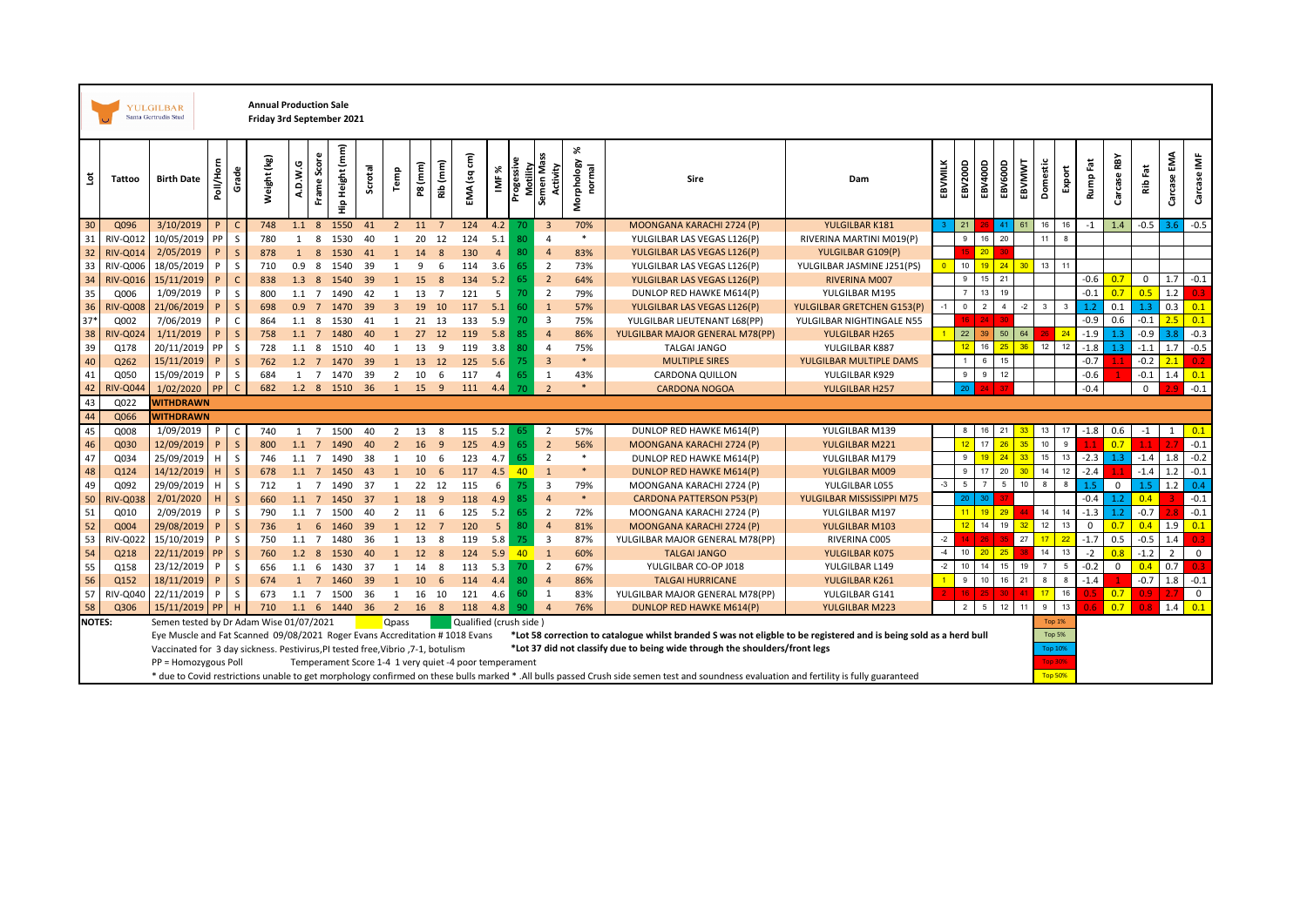| <b>Annual Production Sale</b><br><b>YULGILBAR</b><br>Santa Gertrudis Stud<br>Friday 3rd September 2021 |                 |                                                                                                                                                                  |           |              |             |                  |                |                 |         |                |                 |                |                        |                                                      |            |                                            |                           |                                                                                                                                                                                           |                            |         |                         |                  |                 |                |                |             |              |                |             |                |                  |
|--------------------------------------------------------------------------------------------------------|-----------------|------------------------------------------------------------------------------------------------------------------------------------------------------------------|-----------|--------------|-------------|------------------|----------------|-----------------|---------|----------------|-----------------|----------------|------------------------|------------------------------------------------------|------------|--------------------------------------------|---------------------------|-------------------------------------------------------------------------------------------------------------------------------------------------------------------------------------------|----------------------------|---------|-------------------------|------------------|-----------------|----------------|----------------|-------------|--------------|----------------|-------------|----------------|------------------|
| š                                                                                                      | Tattoo          | <b>Birth Date</b>                                                                                                                                                | Poll/Horn | Grade        | Weight (kg) | A.D.W.G          | Score<br>Frame | Hip Height (mm) | Scrotal | Temp           | P8 (mm)         | Rib (mm)       | EMA (sq cm)            | x<br>$\overline{\underline{\underline{\mathbf{z}}}}$ | Progessive | Motility<br>emen Mass<br>Activity<br>Semer | %<br>Morphology<br>normal | Sire                                                                                                                                                                                      | Dam                        | EBVMILK | EBV200D                 | EBV400D          | EBV600D         | EBVMWT         | Domestic       | Export      | Rump Fat     | RBY<br>Carcase | Fat<br>Rib  | Carcase EMA    | Carcase IMF      |
| 30                                                                                                     | Q096            | 3/10/2019                                                                                                                                                        | P.        | C            | 748         |                  |                | 1.1 8 1550      | 41      | $\overline{2}$ | 11              | $\overline{7}$ | 124                    | 4.2                                                  | 70         | $\overline{\mathbf{3}}$                    | 70%                       | MOONGANA KARACHI 2724 (P)                                                                                                                                                                 | YULGILBAR K181             |         | 21                      |                  | 41              | 61             | 16             | 16          | $-1$         | 1.4            | $-0.5$      | 3.6            | $-0.5$           |
| 31                                                                                                     | RIV-Q012        | 10/05/2019                                                                                                                                                       | PP        | S            | 780         | 1                | 8              | 1530            | 40      | 1              | 20              | 12             | 124                    | 5.1                                                  | 80         | $\overline{4}$                             | $\ast$                    | YULGILBAR LAS VEGAS L126(P)                                                                                                                                                               | RIVERINA MARTINI M019(P)   |         | 9                       | 16               | 20              |                | 11             | 8           |              |                |             |                |                  |
| 32                                                                                                     | <b>RIV-Q014</b> | 2/05/2019                                                                                                                                                        | P         | $\mathsf{S}$ | 878         | 1                | 8              | 1530            | 41      | $\mathbf{1}$   | 14              | 8              | 130                    | $\overline{4}$                                       | 80         | $\overline{4}$                             | 83%                       | YULGILBAR LAS VEGAS L126(P)                                                                                                                                                               | YULGILBAR G109(P)          |         |                         | 20               | 30              |                |                |             |              |                |             |                |                  |
| 33                                                                                                     | RIV-Q006        | 18/05/2019                                                                                                                                                       | P         | S            | 710         | 0.9 <sub>8</sub> |                | 1540            | 39      | 1              | 9               | 6              | 114                    | 3.6                                                  | 65         | $\overline{2}$                             | 73%                       | YULGILBAR LAS VEGAS L126(P)                                                                                                                                                               | YULGILBAR JASMINE J251(PS) |         | 10                      | 19 <sup>°</sup>  | 24              | 30             | 13             | 11          |              |                |             |                |                  |
| 34                                                                                                     | <b>RIV-Q016</b> | 15/11/2019                                                                                                                                                       | P         | $\mathsf{C}$ | 838         |                  |                | 1.3 8 1540 39   |         | $\mathbf{1}$   | 15              | 8              | 134                    | 5.2                                                  | 65         | $\overline{2}$                             | 64%                       | YULGILBAR LAS VEGAS L126(P)                                                                                                                                                               | <b>RIVERINA M007</b>       |         | $\,$ 9                  | 15               | 21              |                |                |             | $-0.6$       | 0.7            | $\mathbf 0$ | 1.7            | $-0.1$           |
| 35                                                                                                     | Q006            | 1/09/2019                                                                                                                                                        | P         | $\mathsf{s}$ | 800         | $1.1 \quad 7$    |                | 1490            | 42      | 1              | 13              | $\overline{7}$ | 121                    | 5                                                    | 70         | $\overline{2}$                             | 79%                       | DUNLOP RED HAWKE M614(P)                                                                                                                                                                  | YULGILBAR M195             |         | $\overline{7}$          | 13               | 19              |                |                |             | $-0.1$       | 0.7            | 0.5         | 1.2            | 0.3 <sub>1</sub> |
| 36                                                                                                     | <b>RIV-Q008</b> | 21/06/2019                                                                                                                                                       | P         | $\mathsf{s}$ | 698         | 0.9              | $\overline{7}$ | 1470            | 39      | $\overline{3}$ | 19              | 10             | 117                    | 5.1                                                  | 60         | $\mathbf{1}$                               | 57%                       | YULGILBAR LAS VEGAS L126(P)                                                                                                                                                               | YULGILBAR GRETCHEN G153(P) |         | $\overline{\mathbf{0}}$ | $\mathcal{P}$    | $\overline{4}$  | $-2$           | 3              |             | 1.2          | 0.1            | 1.3         | 0.3            | 0.1              |
| $37*$                                                                                                  | Q002            | 7/06/2019                                                                                                                                                        | P         | $\mathsf{C}$ | 864         | $1.1 \t 8$       |                | 1530            | 41      | 1              | 21              | 13             | 133                    | 5.9                                                  | 70         | $\overline{\mathbf{3}}$                    | 75%                       | YULGILBAR LIEUTENANT L68(PP)                                                                                                                                                              | YULGILBAR NIGHTINGALE N55  |         |                         | $-24$            | 30              |                |                |             | $-0.9$       | 0.6            | $-0.1$      | 2.5            | 0.1              |
| 38                                                                                                     | RIV-Q02         | 1/11/2019                                                                                                                                                        | P         | $\mathsf{S}$ | 758         |                  |                | 1.1 7 1480      | 40      | 1              | 27              | 12             | 119                    | 5.8                                                  | 85         | $\overline{4}$                             | 86%                       | YULGILBAR MAJOR GENERAL M78(PP)                                                                                                                                                           | YULGILBAR H265             |         | 22                      | 39               | 50              | 64             |                | 24          | $-1.9$       | 1.3            | $-0.9$      | 3.8            | $-0.3$           |
| 39                                                                                                     | Q178            | 20/11/2019                                                                                                                                                       | <b>PP</b> | S            | 728         | $1.1 \quad 8$    |                | 1510            | 40      | 1              | 13              | 9              | 119                    | 3.8                                                  | 80         | $\overline{4}$                             | 75%                       | TALGAI JANGO                                                                                                                                                                              | YULGILBAR K887             |         | 12                      | 16               | 25              | 36             | 12             | 12          | $-1.8$       | 1.3            | $-1.1$      | 1.7            | $-0.5$           |
| 40                                                                                                     | Q262            | 15/11/2019                                                                                                                                                       | P         | $\mathsf{s}$ | 762         | $1.2 \quad 7$    |                | 1470            | 39      | <sup>1</sup>   | 13              | 12             | 125                    | 5.6                                                  | 75         | $\overline{\mathbf{3}}$                    | $\ast$                    | <b>MULTIPLE SIRES</b>                                                                                                                                                                     | YULGILBAR MULTIPLE DAMS    |         |                         | 6                | 15              |                |                |             | $-0.7$       |                | $-0.2$      | 2.1            | 0.2 <sub>1</sub> |
| 41                                                                                                     | Q050            | 15/09/2019                                                                                                                                                       | P         | S            | 684         |                  |                | 1 7 1470 39     |         | $\overline{2}$ | 10              | 6              | 117                    | $\overline{4}$                                       | 65         | 1                                          | 43%                       | <b>CARDONA QUILLON</b>                                                                                                                                                                    | YULGILBAR K929             |         | 9                       | 9                | 12              |                |                |             | $-0.6$       |                | $-0.1$      | 1.4            | 0.1              |
| 42                                                                                                     | <b>RIV-Q04</b>  | 1/02/2020                                                                                                                                                        |           | $\mathsf{C}$ | 682         |                  |                | 1.2 8 1510 36   |         | <sup>1</sup>   | 15              | 9              | 111                    | 4.4                                                  | 70         | $\overline{z}$                             |                           | <b>CARDONA NOGOA</b>                                                                                                                                                                      | YULGILBAR H257             |         |                         | $24^{\circ}$     |                 |                |                |             | $-0.4$       |                | $\mathbf 0$ |                | $-0.1$           |
| 43                                                                                                     | Q022            | <b>WITHDRAWN</b>                                                                                                                                                 |           |              |             |                  |                |                 |         |                |                 |                |                        |                                                      |            |                                            |                           |                                                                                                                                                                                           |                            |         |                         |                  |                 |                |                |             |              |                |             |                |                  |
| 44                                                                                                     | Q066            | <b>WITHDRAWN</b>                                                                                                                                                 |           |              |             |                  |                |                 |         |                |                 |                |                        |                                                      |            |                                            |                           |                                                                                                                                                                                           |                            |         |                         |                  |                 |                |                |             |              |                |             |                |                  |
| 45                                                                                                     | Q008            | 1/09/2019                                                                                                                                                        | P         | $\mathsf{C}$ | 740         | 1                | $\overline{7}$ | 1500            | 40      | 2              | 13              | 8              | 115                    | 5.2                                                  | 65         | $\overline{2}$                             | 57%                       | DUNLOP RED HAWKE M614(P)                                                                                                                                                                  | YULGILBAR M139             |         | 8                       | 16               | 21              | 33             | 13             | 17          | $-1.8$       | 0.6            | $-1$        | 1              | 0.1              |
| 46                                                                                                     | Q030            | 12/09/2019                                                                                                                                                       | P         | $\mathsf{S}$ | 800         | $1.1 \quad 7$    |                | 1490            | 40      | 2              | 16              | 9              | 125                    | 4.9                                                  | 65         | $\overline{2}$                             | 56%                       | MOONGANA KARACHI 2724 (P)                                                                                                                                                                 | YULGILBAR M221             |         | 12                      | 17               | 26              | 35             | 10             | 9           |              | 0.7            | 1.1         | 2.7            | $-0.1$           |
| 47                                                                                                     | Q034            | 25/09/2019                                                                                                                                                       | H.        | $\mathsf{s}$ | 746         | $1.1 \quad 7$    |                | 1490            | 38      | 1              | 10              | 6              | 123                    | 4.7                                                  | 65         | $\overline{2}$                             | $\ast$                    | DUNLOP RED HAWKE M614(P)                                                                                                                                                                  | YULGILBAR M179             |         | 9                       | 19 <sup>°</sup>  | 24              | 33             | 15             | 13          | $-2.3$       | 1.3            | $-1.4$      | 1.8            | $-0.2$           |
| 48                                                                                                     | Q124            | 14/12/2019                                                                                                                                                       |           | $\mathsf{S}$ | 678         |                  |                | 1.1 7 1450      | 43      | $\mathbf{1}$   | 10              | 6              | 117                    | 4.5                                                  | $-40$      | $\overline{1}$                             | $\ast$                    | DUNLOP RED HAWKE M614(P)                                                                                                                                                                  | YULGILBAR M009             |         | 9                       | 17               | 20              | 3 <sub>0</sub> | 14             | 12          | $-2.4$       |                | $-1.4$      | 1.2            | $-0.1$           |
| 49                                                                                                     | Q092            | 29/09/2019                                                                                                                                                       | H         | S            | 712         | 1                | $\overline{7}$ | 1490            | 37      | 1              | 22              | 12             | 115                    | 6                                                    | 75         | $\overline{\mathbf{3}}$                    | 79%                       | MOONGANA KARACHI 2724 (P)                                                                                                                                                                 | YULGILBAR L055             | $-3$    | $5\phantom{.0}$         |                  | $5\overline{5}$ | 10             | 8              | 8           | 1.5          | $\mathbf 0$    | 1.5         | 1.2            | 0.4              |
| 50                                                                                                     | <b>RIV-Q03</b>  | 2/01/2020                                                                                                                                                        | H.        | $\mathsf{S}$ | 660         | $1.1 \quad 7$    |                | 1450            | 37      | $\mathbf{1}$   | 18              | 9              | 118                    | 4.9                                                  | 85         | $\overline{4}$                             | $\ast$                    | <b>CARDONA PATTERSON P53(P)</b>                                                                                                                                                           | YULGILBAR MISSISSIPPI M75  |         |                         | 30               |                 |                |                |             | $-0.4$       | 1.2            | 0.4         |                | $-0.1$           |
| 51                                                                                                     | Q010            | 2/09/2019                                                                                                                                                        | P         | S            | 790         | $1.1 \quad 7$    |                | 1500            | 40      | 2              | 11              | - 6            | 125                    | 5.2                                                  | 65         | $\overline{2}$                             | 72%                       | MOONGANA KARACHI 2724 (P)                                                                                                                                                                 | YULGILBAR M197             |         |                         | 19 <sup>°</sup>  | 29              |                | 14             | 14          | $-1.3$       | 1.2            | $-0.7$      |                | $-0.1$           |
| 52                                                                                                     | Q004            | 29/08/2019                                                                                                                                                       | P         | $\mathsf{S}$ | 736         | 1                | 6              | 1460            | 39      | <sup>1</sup>   | 12              | $\overline{7}$ | 120                    | $5\phantom{.0}$                                      | 80         | $\overline{4}$                             | 81%                       | MOONGANA KARACHI 2724 (P)                                                                                                                                                                 | YULGILBAR M103             |         | 12                      | 14               | 19              | 32             | 12             | 13          | $\mathsf{O}$ | 0.7            | 0.4         | 1.9            | 0.1              |
| 53                                                                                                     | <b>RIV-Q02</b>  | 15/10/2019                                                                                                                                                       | P         | S            | 750         | $1.1 \quad 7$    |                | 1480            | 36      | 1              | 13              | 8              | 119                    | 5.8                                                  | 75         | $\overline{\mathbf{3}}$                    | 87%                       | YULGILBAR MAJOR GENERAL M78(PP)                                                                                                                                                           | RIVERINA COO5              | $-2$    |                         | 26               | 35              | 27             | 17             | 22          | $-1.7$       | 0.5            | $-0.5$      | 1.4            | 0.3 <sub>1</sub> |
| 54                                                                                                     | Q218            | 22/11/2019                                                                                                                                                       | <b>PP</b> | $\mathsf{S}$ | 760         |                  |                | 1.2 8 1530      | 40      | $\mathbf{1}$   | 12 8            |                | 124                    | 5.9                                                  | $-40$      | $\mathbf{1}$                               | 60%                       | <b>TALGAI JANGO</b>                                                                                                                                                                       | YULGILBAR K075             | $-4$    | 10                      | 20               | 25              |                | 14             | 13          | $-2$         | 0.8            | $-1.2$      | $\overline{2}$ | $\mathsf 0$      |
| 55                                                                                                     | Q158            | 23/12/2019                                                                                                                                                       | P         | S            | 656         | $1.1\quad 6$     |                | 1430 37         |         | 1              | 14              | 8              | 113                    | 5.3                                                  | 70         | $\overline{2}$                             | 67%                       | YULGILBAR CO-OP J018                                                                                                                                                                      | YULGILBAR L149             | $-2$    | 10 <sup>1</sup>         | 14               | 15              | 19             | $\overline{7}$ | $5^{\circ}$ | $-0.2$       | $\mathsf 0$    | 0.4         | 0.7            | n 3.             |
| 56                                                                                                     | Q152            | 18/11/2019                                                                                                                                                       | P         | $\mathsf{S}$ | 674         |                  | $1 \quad 7$    | 1460            | 39      | $\mathbf{1}$   | 10 <sup>°</sup> | 6              | 114                    | 4.4                                                  | 80         | $\overline{4}$                             | 86%                       | <b>TALGAI HURRICANE</b>                                                                                                                                                                   | YULGILBAR K261             |         | 9                       | 10 <sup>10</sup> | 16              | 21             | 8              | 8           | $-1.4$       |                | $-0.7$      | 1.8            | $-0.1$           |
| 57                                                                                                     | RIV-Q040        | 22/11/2019                                                                                                                                                       | P         | $\mathsf{s}$ | 673         |                  |                | 1.1 7 1500      | 36      | 1              | 16              | 10             | 121                    | 4.6                                                  | 60         | $\mathbf{1}$                               | 83%                       | YULGILBAR MAJOR GENERAL M78(PP)                                                                                                                                                           | YULGILBAR G141             |         |                         | $16$   25        | $30-1$          | 41             | 17             | 16          |              | 0.7            | 0.9         | 2.7            | $\mathbf 0$      |
| 58                                                                                                     | Q306            | 15/11/2019                                                                                                                                                       | <b>PP</b> | H            | 710         |                  |                | 1.1 6 1440 36   |         | $2^{\circ}$    | 16 8            |                | 118                    | 4.8                                                  | 90         | $\overline{4}$                             | 76%                       | <b>DUNLOP RED HAWKE M614(P)</b>                                                                                                                                                           | YULGILBAR M223             |         | 2                       | $5\overline{5}$  | 12              | 11             | 9              | 13          |              | 0.7            |             | 1.4            | 0.1              |
| <b>NOTES:</b>                                                                                          |                 | Semen tested by Dr Adam Wise 01/07/2021                                                                                                                          |           |              |             |                  |                |                 |         | <b>Qpass</b>   |                 |                | Qualified (crush side) |                                                      |            |                                            |                           |                                                                                                                                                                                           |                            |         |                         |                  |                 |                | <b>Top 1%</b>  |             |              |                |             |                |                  |
|                                                                                                        |                 | Eye Muscle and Fat Scanned 09/08/2021 Roger Evans Accreditation #1018 Evans                                                                                      |           |              |             |                  |                |                 |         |                |                 |                |                        |                                                      |            |                                            |                           | *Lot 58 correction to catalogue whilst branded S was not eligble to be registered and is being sold as a herd bull                                                                        |                            |         |                         |                  |                 |                | <b>Top 5%</b>  |             |              |                |             |                |                  |
|                                                                                                        |                 | *Lot 37 did not classify due to being wide through the shoulders/front legs<br>Vaccinated for 3 day sickness. Pestivirus, PI tested free, Vibrio , 7-1, botulism |           |              |             |                  |                |                 |         |                |                 |                |                        | <b>Top 10%</b>                                       |            |                                            |                           |                                                                                                                                                                                           |                            |         |                         |                  |                 |                |                |             |              |                |             |                |                  |
|                                                                                                        |                 | PP = Homozygous Poll<br>Temperament Score 1-4 1 very quiet -4 poor temperament                                                                                   |           |              |             |                  |                |                 |         |                |                 |                |                        | <b>Top 30%</b>                                       |            |                                            |                           |                                                                                                                                                                                           |                            |         |                         |                  |                 |                |                |             |              |                |             |                |                  |
|                                                                                                        |                 |                                                                                                                                                                  |           |              |             |                  |                |                 |         |                |                 |                |                        |                                                      |            |                                            |                           | * due to Covid restrictions unable to get morphology confirmed on these bulls marked * .All bulls passed Crush side semen test and soundness evaluation and fertility is fully guaranteed |                            |         |                         |                  |                 |                | <b>Top 50%</b> |             |              |                |             |                |                  |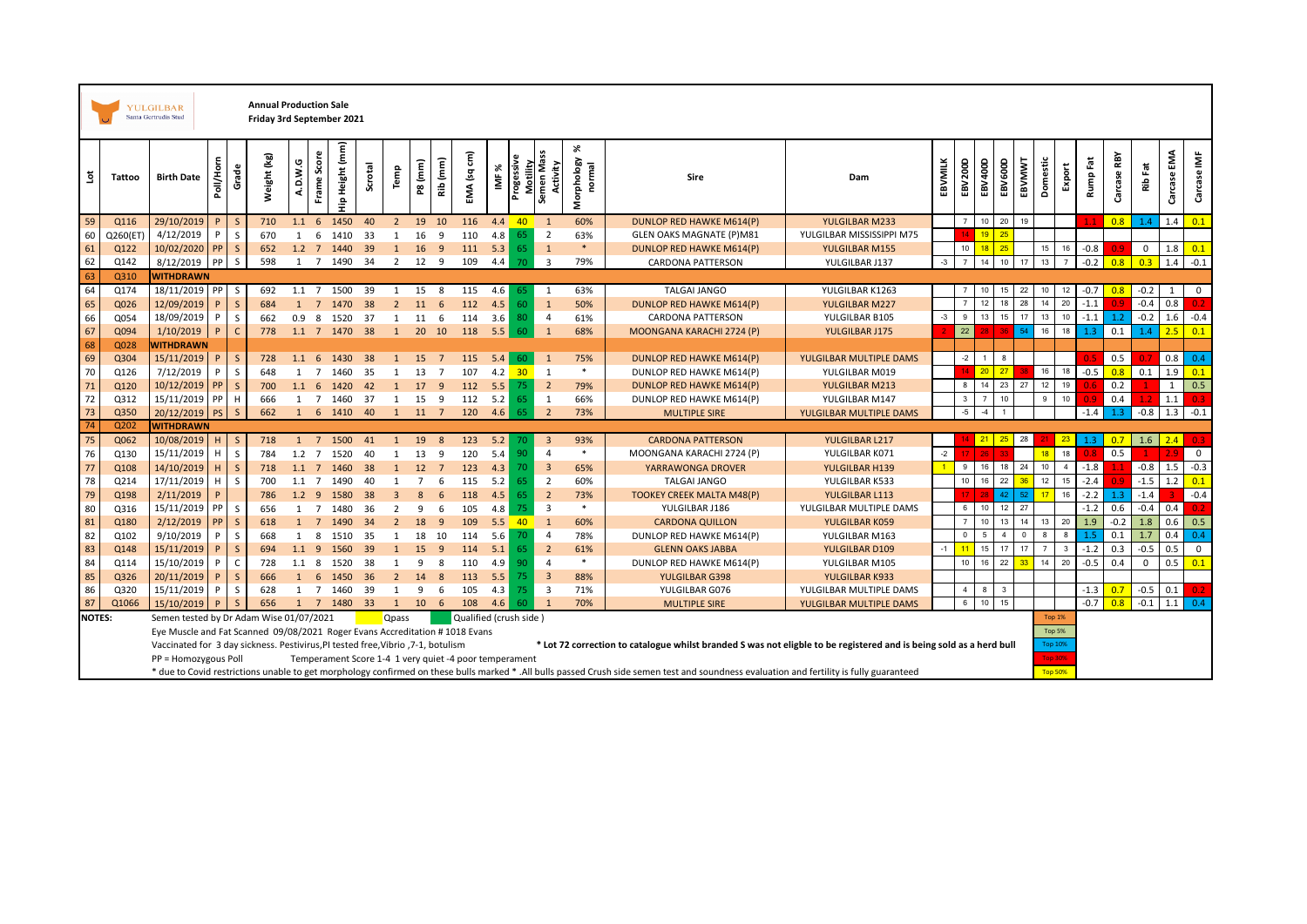|               |          | <b>Annual Production Sale</b><br>YULGILBAR<br>Santa Gertrudis Stud<br>Friday 3rd September 2021                        |           |              |             |                  |                |                                                        |         |                |                |                |                        |                                                                  |            |                                    |                 |        |                                                                                                                                                                                           |                           |         |                 |                  |                         |             |                                |                |          |                |             |             |                  |
|---------------|----------|------------------------------------------------------------------------------------------------------------------------|-----------|--------------|-------------|------------------|----------------|--------------------------------------------------------|---------|----------------|----------------|----------------|------------------------|------------------------------------------------------------------|------------|------------------------------------|-----------------|--------|-------------------------------------------------------------------------------------------------------------------------------------------------------------------------------------------|---------------------------|---------|-----------------|------------------|-------------------------|-------------|--------------------------------|----------------|----------|----------------|-------------|-------------|------------------|
| ã             | Tattoo   | <b>Birth Date</b>                                                                                                      | Poll/Horn | Grade        | Weight (kg) | A.D.W.G          | Frame Score    | Hip Height (mm)                                        | Scrotal | Temp           | P8 (mm)        | Rib (mm)       | EMA (sq cm)            | ⋇<br>$\overline{\underline{\underline{\underline{\mathsf{v}}}}}$ | Progessive | Motility<br>Semen Mass<br>Activity | ℅<br>Morphology | normal | Sire                                                                                                                                                                                      | Dam                       | EBVMILK | EBV200D         | EBV400D          | EBV600D                 | EBVMWT      | Domestic                       | Export         | Rump Fat | RBY<br>Carcase | Ê           | Carcase EMA | Carcase IMF      |
| 59            | Q116     | 29/10/2019                                                                                                             |           | S            | 710         | $1.1\quad 6$     |                | 1450                                                   | 40      | $\overline{2}$ | 19 10          |                | 116                    | 4.4                                                              | $-40$      | 1                                  | 60%             |        | <b>DUNLOP RED HAWKE M614(P)</b>                                                                                                                                                           | YULGILBAR M233            |         |                 | 10               | 20                      | 19          |                                |                |          | 0.8            | 1.4         | 1.4         | 0.1              |
| 60            | Q260(ET) | 4/12/2019                                                                                                              | P         | S            | 670         | $\mathbf{1}$     | 6              | 1410                                                   | 33      | 1              | 16             | 9              | 110                    | 4.8                                                              | 65         | $\overline{2}$                     | 63%             |        | <b>GLEN OAKS MAGNATE (P)M81</b>                                                                                                                                                           | YULGILBAR MISSISSIPPI M75 |         |                 | 19               | 25                      |             |                                |                |          |                |             |             |                  |
| 61            | Q122     | 10/02/2020                                                                                                             | PP        | $\mathsf{S}$ | 652         |                  |                | 1.2 7 1440                                             | 39      | $\bullet$      | 16             | - 9            | 111                    | 5.3                                                              | 65         | $\mathbf{1}$                       | $\ast$          |        | DUNLOP RED HAWKE M614(P)                                                                                                                                                                  | YULGILBAR M155            |         | $10$            | 18 <sup>°</sup>  | 25                      |             | 15                             | 16             | $-0.8$   |                | $\mathbf 0$ | 1.8         | 0.1              |
| 62            | Q142     | 8/12/2019                                                                                                              | PP        | S            | 598         |                  |                | 1 7 1490 34                                            |         | 2 12 9         |                |                | 109                    | 4.4                                                              | 70         | $\overline{\mathbf{3}}$            | 79%             |        | <b>CARDONA PATTERSON</b>                                                                                                                                                                  | YULGILBAR J137            | $-3$    | $\overline{7}$  | 14               | 10                      | 17          | 13                             | $\overline{7}$ | $-0.2$   | 0.8            | 0.3         | 1.4         | $-0.1$           |
| 63            | Q310     | <b>WITHDRAWN</b>                                                                                                       |           |              |             |                  |                |                                                        |         |                |                |                |                        |                                                                  |            |                                    |                 |        |                                                                                                                                                                                           |                           |         |                 |                  |                         |             |                                |                |          |                |             |             |                  |
| 64            | Q174     | 18/11/2019 PP                                                                                                          |           | S            | 692         | $1.1 \quad 7$    |                | 1500                                                   | 39      | 1              | 15             | 8              | 115                    | 4.6                                                              | 65         | 1                                  | 63%             |        | <b>TALGAI JANGO</b>                                                                                                                                                                       | YULGILBAR K1263           |         |                 | 10               | 15                      | 22          | 10                             | 12             | $-0.7$   | 0.8            | $-0.2$      | 1           | $\mathbf{0}$     |
| 65            | Q026     | 12/09/2019                                                                                                             |           | $\sf S$      | 684         | 1                | $7^{\circ}$    | 1470                                                   | 38      | 2              | 11             | 6              | 112                    | 4.5                                                              | 60         | $\mathbf{1}$                       | 50%             |        | DUNLOP RED HAWKE M614(P)                                                                                                                                                                  | <b>YULGILBAR M227</b>     |         |                 | 12               |                         | 28          | 14                             | 20             | $-1.1$   |                | $-0.4$      | 0.8         | 0.2.             |
| 66            | Q054     | 18/09/2019                                                                                                             | P         | $\mathsf{S}$ | 662         | 0.9 <sub>8</sub> |                | 1520                                                   | 37      | 1              | 11             | 6              | 114                    | 3.6                                                              | 80         | $\overline{4}$                     | 61%             |        | CARDONA PATTERSON                                                                                                                                                                         | YULGILBAR B105            | $-3$    | 9               | 13               |                         | 17          | 13                             | 10             | $-1.1$   | 1.2            | $-0.2$      | 1.6         | $-0.4$           |
| 67            | Q094     | 1/10/2019                                                                                                              |           | $\mathsf{C}$ | 778         |                  |                | 1.1 7 1470 38                                          |         | $\mathbf{1}$   | 20 10          |                | 118                    | 5.5                                                              | 60         | $\mathbf{1}$                       | 68%             |        | MOONGANA KARACHI 2724 (P)                                                                                                                                                                 | YULGILBAR J175            |         | 22              |                  |                         | 54          | 16                             | 18             | 1.3      | 0.1            | 1.4         | 2.5         | 0.1              |
| 68            | Q028     | <b>WITHDRAWN</b>                                                                                                       |           |              |             |                  |                |                                                        |         |                |                |                |                        |                                                                  |            |                                    |                 |        |                                                                                                                                                                                           |                           |         |                 |                  |                         |             |                                |                |          |                |             |             |                  |
| 69            | Q304     | 15/11/2019                                                                                                             | P         | S            | 728         |                  |                | 1.1 6 1430                                             | 38      | $\mathbf{1}$   | 15             | $\overline{7}$ | 115                    | 5.4                                                              | 60         | 1                                  | 75%             |        | DUNLOP RED HAWKE M614(P)                                                                                                                                                                  | YULGILBAR MULTIPLE DAMS   |         | $-2$            | 1                | 8                       |             |                                |                |          | 0.5            |             | 0.8         | 0.4              |
| 70            | Q126     | 7/12/2019                                                                                                              | P         | S            | 648         | 1                | $\overline{7}$ | 1460                                                   | 35      | 1              | 13             | $\overline{7}$ | 107                    | 4.2                                                              | 30         | 1                                  | *               |        | DUNLOP RED HAWKE M614(P)                                                                                                                                                                  | YULGILBAR M019            |         |                 | 20 <sup>°</sup>  | 27                      |             | 16                             | 18             | $-0.5$   | 0.8            | 0.1         | 1.9         | 0.1              |
| 71            | Q120     | 10/12/2019                                                                                                             | PP        | $\mathsf S$  | 700         | $1.1\quad6$      |                | 1420                                                   | 42      | $\mathbf{1}$   | 17             | 9              | 112                    | 5.5                                                              | 75         | $\overline{2}$                     | 79%             |        | DUNLOP RED HAWKE M614(P)                                                                                                                                                                  | YULGILBAR M213            |         | 8               | 14               | 23                      | 27          | 12                             | 19             |          | 0.2            |             | 1           | 0.5              |
| 72            | Q312     | 15/11/2019                                                                                                             | PP        | H            | 666         | 1                | $\overline{7}$ | 1460                                                   | 37      | 1              | 15             | 9              | 112                    | 5.2                                                              | 65         | 1                                  | 66%             |        | DUNLOP RED HAWKE M614(P)                                                                                                                                                                  | YULGILBAR M147            |         | $\mathbf{3}$    | $\overline{7}$   | 10                      |             | 9                              | 10             |          | 0.4            |             | 1.1         | 0.3 <sub>1</sub> |
| 73            | Q350     | 20/12/2019                                                                                                             | <b>PS</b> | <sub>S</sub> | 662         |                  |                | 1 6 1410                                               | - 40    | 1              | 11             | $\overline{7}$ | 120                    | 4.6                                                              | 65         | $\overline{2}$                     | 73%             |        | <b>MULTIPLE SIRE</b>                                                                                                                                                                      | YULGILBAR MULTIPLE DAMS   |         | $-5$            | $-4$             |                         |             |                                |                | $-1.4$   | 1.3            | $-0.8$      | 1.3         | $-0.1$           |
| 74            | Q202     | <b>WITHDRAWN</b>                                                                                                       |           |              |             |                  |                |                                                        |         |                |                |                |                        |                                                                  |            |                                    |                 |        |                                                                                                                                                                                           |                           |         |                 |                  |                         |             |                                |                |          |                |             |             |                  |
| 75            | Q062     | 10/08/2019                                                                                                             | H         | <sub>S</sub> | 718         | 1                | $\overline{7}$ | 1500                                                   | 41      | <sup>1</sup>   | 19             | 8              | 123                    | 5.2                                                              | 70.        | $\overline{3}$                     | 93%             |        | <b>CARDONA PATTERSON</b>                                                                                                                                                                  | YULGILBAR L217            |         |                 | 21               | 25                      | 28          |                                | 23             | 1.3      | 0.7            | 1.6         | 2.4         |                  |
| 76            | Q130     | 15/11/2019                                                                                                             | H         | S            | 784         |                  |                | 1.2 7 1520                                             | 40      | 1              | 13             | 9              | 120                    | 5.4                                                              | 90         | $\overline{4}$                     | $\ast$          |        | MOONGANA KARACHI 2724 (P)                                                                                                                                                                 | YULGILBAR K071            | $-2$    |                 |                  |                         |             | 18 <sup>1</sup>                | 18             |          | 0.5            |             |             | $\mathbf 0$      |
| 77            | Q108     | 14/10/2019                                                                                                             | н.        | $\mathsf S$  | 718         |                  |                | 1.1 7 1460                                             | 38      | 1              | 12             | $\overline{7}$ | 123                    | 4.3                                                              | 70         | $\overline{\mathbf{3}}$            | 65%             |        | YARRAWONGA DROVER                                                                                                                                                                         | YULGILBAR H139            |         | 9               | 16               | 18                      | 24          | 10                             | $\overline{4}$ | $-1.8$   |                | $-0.8$      | 1.5         | $-0.3$           |
| 78            | Q214     | 17/11/2019                                                                                                             | Н.        | S            | 700         | $1.1 \quad 7$    |                | 1490                                                   | 40      | 1              | $\overline{7}$ | 6              | 115                    | 5.2                                                              | 65         | $\overline{2}$                     | 60%             |        | <b>TALGAI JANGO</b>                                                                                                                                                                       | YULGILBAR K533            |         | 10              | 16               | 22                      | 36          | 12                             | 15             | $-2.4$   |                | $-1.5$      | 1.2         | 0.1              |
| 79            | Q198     | 2/11/2019                                                                                                              |           |              | 786         |                  |                | 1.2 9 1580                                             | 38      | $\overline{3}$ | 8              | 6              | 118                    | 4.5                                                              | 65         | $\overline{2}$                     | 73%             |        | <b>TOOKEY CREEK MALTA M48(P)</b>                                                                                                                                                          | YULGILBAR L113            |         |                 |                  | 42                      | 52          | 17 <sup>2</sup>                | 16             | $-2.2$   | 1.3            | $-1.4$      |             | $-0.4$           |
| 80            | Q316     | 15/11/2019                                                                                                             | PP        | S            | 656         |                  |                | 1 7 1480                                               | 36      | 2              | 9              | 6              | 105                    | 4.8                                                              | 75         | $\overline{\mathbf{3}}$            | *               |        | YULGILBAR J186                                                                                                                                                                            | YULGILBAR MULTIPLE DAMS   |         | $6\phantom{1}6$ | 10               | 12                      | 27          |                                |                | $-1.2$   | 0.6            | $-0.4$      | 0.4         | 0.2 <sub>1</sub> |
| 81            | Q180     | 2/12/2019                                                                                                              | <b>PP</b> | $\mathsf S$  | 618         | $\mathbf{1}$     | $\overline{7}$ | 1490                                                   | 34      | $\overline{2}$ | 18             | 9              | 109                    | 5.5                                                              | $-40$      | $\mathbf{1}$                       | 60%             |        | <b>CARDONA QUILLON</b>                                                                                                                                                                    | YULGILBAR K059            |         |                 | 10 <sup>10</sup> | 13                      | 14          | 13                             | 20             | 1.9      | $-0.2$         | 1.8         | 0.6         | 0.5              |
| 82            | Q102     | 9/10/2019                                                                                                              | P         | S            | 668         | 1                | - 8            | 1510                                                   | 35      | 1              | 18             | 10             | 114                    | 5.6                                                              | 70         | $\overline{4}$                     | 78%             |        | DUNLOP RED HAWKE M614(P)                                                                                                                                                                  | YULGILBAR M163            |         | $\Omega$        | 5                | $\overline{4}$          | $\mathbf 0$ | 8                              | 8              | 1.5      | 0.1            | 1.7         | 0.4         | 0.4              |
| 83            | Q148     | 15/11/2019                                                                                                             |           | $\mathsf{S}$ | 694         | $1.1 \quad 9$    |                | 1560                                                   | 39      | $\mathbf{1}$   | 15             | 9              | 114                    | 5.1                                                              | 65         | $\overline{2}$                     | 61%             |        | <b>GLENN OAKS JABBA</b>                                                                                                                                                                   | YULGILBAR D109            |         |                 | 15               | 17                      | 17          | $\overline{7}$                 | -3             | $-1.2$   | 0.3            | $-0.5$      | 0.5         | $\mathbf{0}$     |
| 84            | Q114     | 15/10/2019                                                                                                             | P         | $\mathsf C$  | 728         | $1.1 \quad 8$    |                | 1520                                                   | 38      | 1              | 9              | 8              | 110                    | 4.9                                                              | 90         | $\overline{4}$                     | $\ast$          |        | DUNLOP RED HAWKE M614(P)                                                                                                                                                                  | YULGILBAR M105            |         | 10              | 16               | 22                      | 33          | 14                             | 20             | $-0.5$   | 0.4            | $\mathbf 0$ | 0.5         | 0.1              |
| 85            | Q326     | 20/11/2019                                                                                                             | P         | $\sf S$      | 666         |                  | $1\quad 6$     | 1450                                                   | 36      | $\overline{2}$ | 14             | 8              | 113                    | 5.5                                                              | 75         | $\overline{3}$                     | 88%             |        | YULGILBAR G398                                                                                                                                                                            | YULGILBAR K933            |         |                 |                  |                         |             |                                |                |          |                |             |             |                  |
| 86            | Q320     | 15/11/2019                                                                                                             | P         | S            | 628         |                  |                | 1 7 1460                                               | 39      | 1              | 9              | 6              | 105                    | 4.3                                                              | 75.        | 3                                  | 71%             |        | YULGILBAR G076                                                                                                                                                                            | YULGILBAR MULTIPLE DAMS   |         | $\overline{4}$  | 8                | $\overline{\mathbf{3}}$ |             |                                |                | $-1.3$   | 0.7            | $-0.5$      | 0.1         |                  |
| 87            | Q1066    | 15/10/2019                                                                                                             |           | $\varsigma$  | 656         | 1                |                | 7 1480                                                 | 33      | <sup>1</sup>   | 10             | 6              | 108                    | 4.6                                                              |            | $\overline{1}$                     | 70%             |        | <b>MULTIPLE SIRE</b>                                                                                                                                                                      | YULGILBAR MULTIPLE DAMS   |         | 6               | 10               | 15                      |             |                                |                | $-0.7$   | 0.8            | $-0.1$      | 1.1         | 0.4              |
| <b>NOTES:</b> |          | Semen tested by Dr Adam Wise 01/07/2021<br>Eye Muscle and Fat Scanned 09/08/2021 Roger Evans Accreditation #1018 Evans |           |              |             |                  |                |                                                        |         | Qpass          |                |                | Qualified (crush side) |                                                                  |            |                                    |                 |        |                                                                                                                                                                                           |                           |         |                 |                  |                         |             | <b>Top 1%</b><br><b>Top 5%</b> |                |          |                |             |             |                  |
|               |          | Vaccinated for 3 day sickness. Pestivirus, PI tested free, Vibrio , 7-1, botulism                                      |           |              |             |                  |                |                                                        |         |                |                |                |                        |                                                                  |            |                                    |                 |        | * Lot 72 correction to catalogue whilst branded S was not eligble to be registered and is being sold as a herd bull                                                                       |                           |         |                 |                  |                         |             | <b>Top 10%</b>                 |                |          |                |             |             |                  |
|               |          | PP = Homozygous Poll                                                                                                   |           |              |             |                  |                | Temperament Score 1-4 1 very quiet -4 poor temperament |         |                |                |                |                        |                                                                  |            |                                    |                 |        |                                                                                                                                                                                           |                           |         |                 |                  |                         |             | <b>Top 30%</b>                 |                |          |                |             |             |                  |
|               |          |                                                                                                                        |           |              |             |                  |                |                                                        |         |                |                |                |                        |                                                                  |            |                                    |                 |        | * due to Covid restrictions unable to get morphology confirmed on these bulls marked * .All bulls passed Crush side semen test and soundness evaluation and fertility is fully guaranteed |                           |         |                 |                  |                         |             | <b>Top 50%</b>                 |                |          |                |             |             |                  |